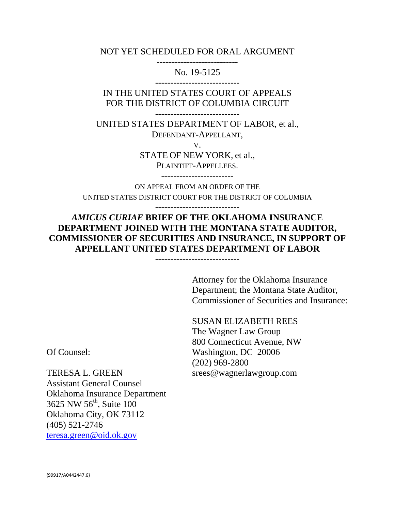NOT YET SCHEDULED FOR ORAL ARGUMENT ---------------------------

No. 19-5125

IN THE UNITED STATES COURT OF APPEALS FOR THE DISTRICT OF COLUMBIA CIRCUIT

**----------------------------**

UNITED STATES DEPARTMENT OF LABOR, et al., DEFENDANT-APPELLANT,

V.

STATE OF NEW YORK, et al., PLAINTIFF-APPELLEES.

------------------------

ON APPEAL FROM AN ORDER OF THE UNITED STATES DISTRICT COURT FOR THE DISTRICT OF COLUMBIA

----------------------------

*AMICUS CURIAE* **BRIEF OF THE OKLAHOMA INSURANCE DEPARTMENT JOINED WITH THE MONTANA STATE AUDITOR, COMMISSIONER OF SECURITIES AND INSURANCE, IN SUPPORT OF APPELLANT UNITED STATES DEPARTMENT OF LABOR**

----------------------------

Attorney for the Oklahoma Insurance Department; the Montana State Auditor, Commissioner of Securities and Insurance:

SUSAN ELIZABETH REES The Wagner Law Group 800 Connecticut Avenue, NW Washington, DC 20006 (202) 969-2800 srees@wagnerlawgroup.com

Of Counsel:

TERESA L. GREEN Assistant General Counsel Oklahoma Insurance Department 3625 NW 56<sup>th</sup>, Suite 100 Oklahoma City, OK 73112 (405) 521-2746 teresa.green@oid.ok.gov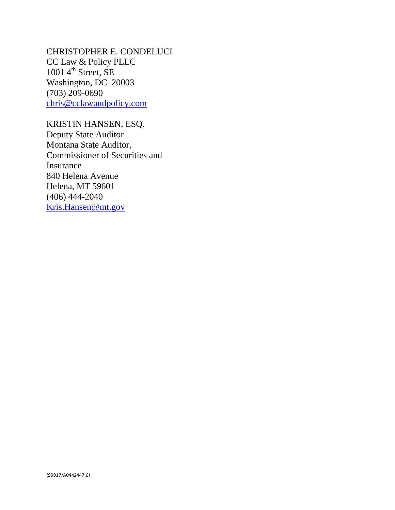CHRISTOPHER E. CONDELUCI CC Law & Policy PLLC 1001  $4^{\text{th}}$  Street, SE Washington, DC 20003 (703) 209-0690 chris@cclawandpolicy.com

KRISTIN HANSEN, ESQ. Deputy State Auditor Montana State Auditor, Commissioner of Securities and Insurance 840 Helena Avenue Helena, MT 59601 (406) 444-2040 Kris.Hansen@mt.gov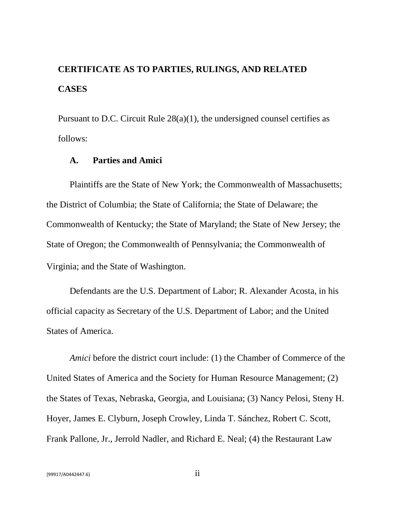# **CERTIFICATE AS TO PARTIES, RULINGS, AND RELATED CASES**

Pursuant to D.C. Circuit Rule 28(a)(1), the undersigned counsel certifies as follows:

#### **A. Parties and Amici**

Plaintiffs are the State of New York; the Commonwealth of Massachusetts; the District of Columbia; the State of California; the State of Delaware; the Commonwealth of Kentucky; the State of Maryland; the State of New Jersey; the State of Oregon; the Commonwealth of Pennsylvania; the Commonwealth of Virginia; and the State of Washington.

Defendants are the U.S. Department of Labor; R. Alexander Acosta, in his official capacity as Secretary of the U.S. Department of Labor; and the United States of America.

*Amici* before the district court include: (1) the Chamber of Commerce of the United States of America and the Society for Human Resource Management; (2) the States of Texas, Nebraska, Georgia, and Louisiana; (3) Nancy Pelosi, Steny H. Hoyer, James E. Clyburn, Joseph Crowley, Linda T. Sánchez, Robert C. Scott, Frank Pallone, Jr., Jerrold Nadler, and Richard E. Neal; (4) the Restaurant Law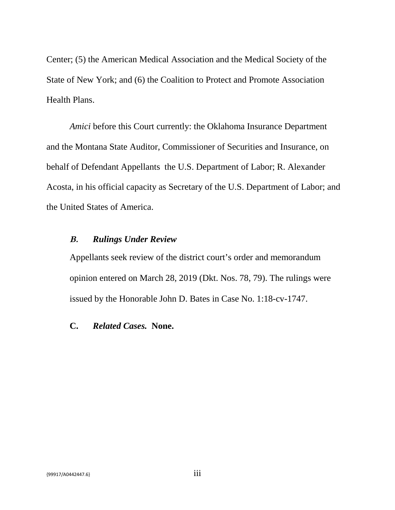Center; (5) the American Medical Association and the Medical Society of the State of New York; and (6) the Coalition to Protect and Promote Association Health Plans.

*Amici* before this Court currently: the Oklahoma Insurance Department and the Montana State Auditor, Commissioner of Securities and Insurance, on behalf of Defendant Appellants the U.S. Department of Labor; R. Alexander Acosta, in his official capacity as Secretary of the U.S. Department of Labor; and the United States of America.

#### **B.** *Rulings Under Review*

Appellants seek review of the district court's order and memorandum opinion entered on March 28, 2019 (Dkt. Nos. 78, 79). The rulings were issued by the Honorable John D. Bates in Case No. 1:18-cv-1747.

#### **C.** *Related Cases.* **None.**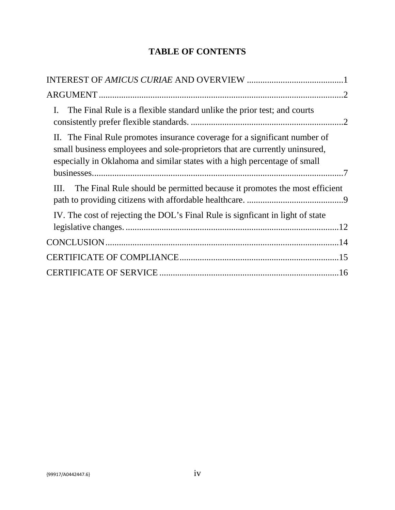# **TABLE OF CONTENTS**

| The Final Rule is a flexible standard unlike the prior test; and courts<br>I.                                                                                                                                                          |
|----------------------------------------------------------------------------------------------------------------------------------------------------------------------------------------------------------------------------------------|
| II. The Final Rule promotes insurance coverage for a significant number of<br>small business employees and sole-proprietors that are currently uninsured,<br>especially in Oklahoma and similar states with a high percentage of small |
| The Final Rule should be permitted because it promotes the most efficient<br>Ш.                                                                                                                                                        |
| IV. The cost of rejecting the DOL's Final Rule is signficant in light of state                                                                                                                                                         |
|                                                                                                                                                                                                                                        |
|                                                                                                                                                                                                                                        |
|                                                                                                                                                                                                                                        |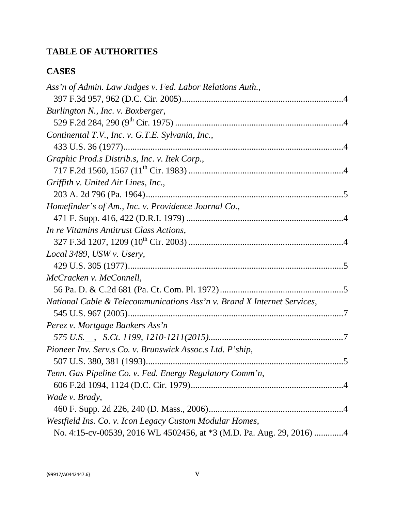# **TABLE OF AUTHORITIES**

### **CASES**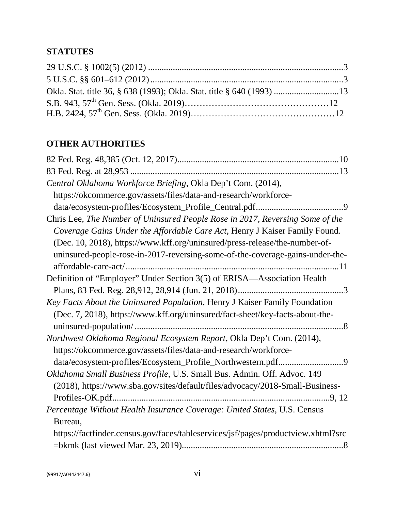# **STATUTES**

| Okla. Stat. title 36, § 638 (1993); Okla. Stat. title § 640 (1993) 13 |  |
|-----------------------------------------------------------------------|--|
|                                                                       |  |
|                                                                       |  |

# **OTHER AUTHORITIES**

| Central Oklahoma Workforce Briefing, Okla Dep't Com. (2014),                      |
|-----------------------------------------------------------------------------------|
| https://okcommerce.gov/assets/files/data-and-research/workforce-                  |
|                                                                                   |
| Chris Lee, The Number of Uninsured People Rose in 2017, Reversing Some of the     |
| Coverage Gains Under the Affordable Care Act, Henry J Kaiser Family Found.        |
| (Dec. 10, 2018), https://www.kff.org/uninsured/press-release/the-number-of-       |
| uninsured-people-rose-in-2017-reversing-some-of-the-coverage-gains-under-the-     |
|                                                                                   |
| Definition of "Employer" Under Section 3(5) of ERISA—Association Health           |
|                                                                                   |
| Key Facts About the Uninsured Population, Henry J Kaiser Family Foundation        |
| (Dec. 7, 2018), https://www.kff.org/uninsured/fact-sheet/key-facts-about-the-     |
|                                                                                   |
| Northwest Oklahoma Regional Ecosystem Report, Okla Dep't Com. (2014),             |
| https://okcommerce.gov/assets/files/data-and-research/workforce-                  |
|                                                                                   |
| Oklahoma Small Business Profile, U.S. Small Bus. Admin. Off. Advoc. 149           |
| (2018), https://www.sba.gov/sites/default/files/advocacy/2018-Small-Business-     |
|                                                                                   |
| Percentage Without Health Insurance Coverage: United States, U.S. Census          |
| Bureau,                                                                           |
| https://factfinder.census.gov/faces/tableservices/jsf/pages/productview.xhtml?src |
|                                                                                   |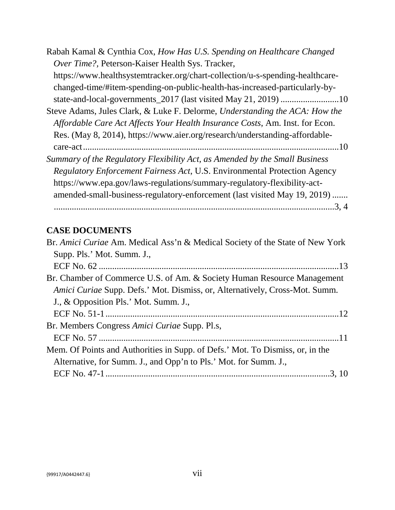| Rabah Kamal & Cynthia Cox, How Has U.S. Spending on Healthcare Changed        |
|-------------------------------------------------------------------------------|
| Over Time?, Peterson-Kaiser Health Sys. Tracker,                              |
| https://www.healthsystemtracker.org/chart-collection/u-s-spending-healthcare- |
| changed-time/#item-spending-on-public-health-has-increased-particularly-by-   |
|                                                                               |
| Steve Adams, Jules Clark, & Luke F. Delorme, Understanding the ACA: How the   |
| Affordable Care Act Affects Your Health Insurance Costs, Am. Inst. for Econ.  |
| Res. (May 8, 2014), https://www.aier.org/research/understanding-affordable-   |
|                                                                               |
| Summary of the Regulatory Flexibility Act, as Amended by the Small Business   |
| Regulatory Enforcement Fairness Act, U.S. Environmental Protection Agency     |
| https://www.epa.gov/laws-regulations/summary-regulatory-flexibility-act-      |
| amended-small-business-regulatory-enforcement (last visited May 19, 2019)     |
| .3, 4                                                                         |

# **CASE DOCUMENTS**

| Br. Amici Curiae Am. Medical Ass'n & Medical Society of the State of New York      |
|------------------------------------------------------------------------------------|
| Supp. Pls.' Mot. Summ. J.,                                                         |
|                                                                                    |
| Br. Chamber of Commerce U.S. of Am. & Society Human Resource Management            |
| <i>Amici Curiae Supp. Defs.' Mot. Dismiss, or, Alternatively, Cross-Mot. Summ.</i> |
| J., & Opposition Pls.' Mot. Summ. J.,                                              |
|                                                                                    |
| Br. Members Congress Amici Curiae Supp. Pl.s,                                      |
|                                                                                    |
| Mem. Of Points and Authorities in Supp. of Defs.' Mot. To Dismiss, or, in the      |
| Alternative, for Summ. J., and Opp'n to Pls.' Mot. for Summ. J.,                   |
|                                                                                    |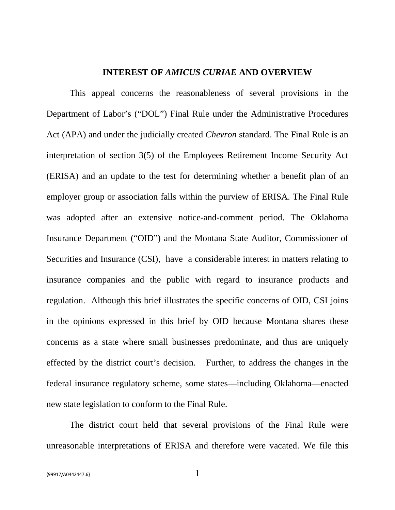#### **INTEREST OF** *AMICUS CURIAE* **AND OVERVIEW**

This appeal concerns the reasonableness of several provisions in the Department of Labor's ("DOL") Final Rule under the Administrative Procedures Act (APA) and under the judicially created *Chevron* standard. The Final Rule is an interpretation of section 3(5) of the Employees Retirement Income Security Act (ERISA) and an update to the test for determining whether a benefit plan of an employer group or association falls within the purview of ERISA. The Final Rule was adopted after an extensive notice-and-comment period. The Oklahoma Insurance Department ("OID") and the Montana State Auditor, Commissioner of Securities and Insurance (CSI), have a considerable interest in matters relating to insurance companies and the public with regard to insurance products and regulation. Although this brief illustrates the specific concerns of OID, CSI joins in the opinions expressed in this brief by OID because Montana shares these concerns as a state where small businesses predominate, and thus are uniquely effected by the district court's decision. Further, to address the changes in the federal insurance regulatory scheme, some states—including Oklahoma—enacted new state legislation to conform to the Final Rule.

The district court held that several provisions of the Final Rule were unreasonable interpretations of ERISA and therefore were vacated. We file this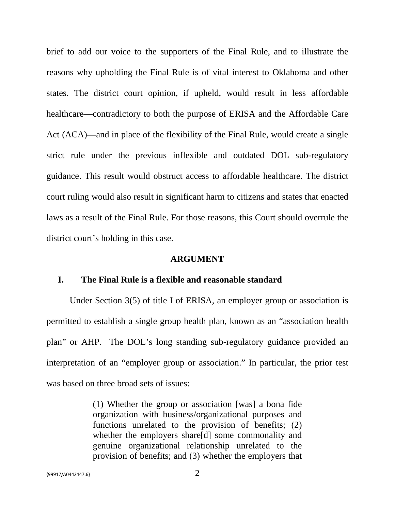brief to add our voice to the supporters of the Final Rule, and to illustrate the reasons why upholding the Final Rule is of vital interest to Oklahoma and other states. The district court opinion, if upheld, would result in less affordable healthcare—contradictory to both the purpose of ERISA and the Affordable Care Act (ACA)—and in place of the flexibility of the Final Rule, would create a single strict rule under the previous inflexible and outdated DOL sub-regulatory guidance. This result would obstruct access to affordable healthcare. The district court ruling would also result in significant harm to citizens and states that enacted laws as a result of the Final Rule. For those reasons, this Court should overrule the district court's holding in this case.

#### **ARGUMENT**

#### **I. The Final Rule is a flexible and reasonable standard**

Under Section 3(5) of title I of ERISA, an employer group or association is permitted to establish a single group health plan, known as an "association health plan" or AHP. The DOL's long standing sub-regulatory guidance provided an interpretation of an "employer group or association." In particular, the prior test was based on three broad sets of issues:

> (1) Whether the group or association [was] a bona fide organization with business/organizational purposes and functions unrelated to the provision of benefits; (2) whether the employers share[d] some commonality and genuine organizational relationship unrelated to the provision of benefits; and (3) whether the employers that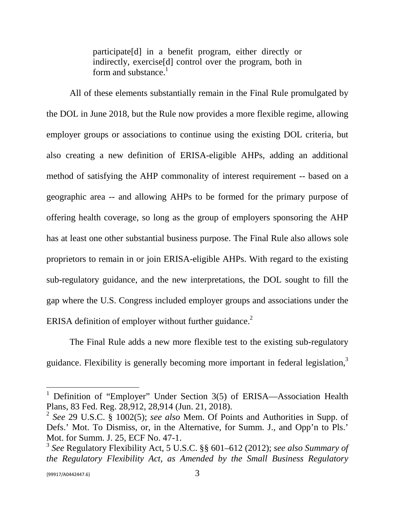participate[d] in a benefit program, either directly or indirectly, exercise[d] control over the program, both in form and substance. $<sup>1</sup>$ </sup>

All of these elements substantially remain in the Final Rule promulgated by the DOL in June 2018, but the Rule now provides a more flexible regime, allowing employer groups or associations to continue using the existing DOL criteria, but also creating a new definition of ERISA-eligible AHPs, adding an additional method of satisfying the AHP commonality of interest requirement -- based on a geographic area -- and allowing AHPs to be formed for the primary purpose of offering health coverage, so long as the group of employers sponsoring the AHP has at least one other substantial business purpose. The Final Rule also allows sole proprietors to remain in or join ERISA-eligible AHPs. With regard to the existing sub-regulatory guidance, and the new interpretations, the DOL sought to fill the gap where the U.S. Congress included employer groups and associations under the ERISA definition of employer without further guidance.<sup>2</sup>

The Final Rule adds a new more flexible test to the existing sub-regulatory guidance. Flexibility is generally becoming more important in federal legislation,<sup>3</sup>

<sup>&</sup>lt;sup>1</sup> Definition of "Employer" Under Section  $3(5)$  of ERISA—Association Health Plans, 83 Fed. Reg. 28,912, 28,914 (Jun. 21, 2018).

<sup>2</sup> *See* 29 U.S.C. § 1002(5); *see also* Mem. Of Points and Authorities in Supp. of Defs.' Mot. To Dismiss, or, in the Alternative, for Summ. J., and Opp'n to Pls.' Mot. for Summ. J. 25, ECF No. 47-1.

<sup>3</sup> *See* Regulatory Flexibility Act, 5 U.S.C. §§ 601–612 (2012); *see also Summary of the Regulatory Flexibility Act, as Amended by the Small Business Regulatory*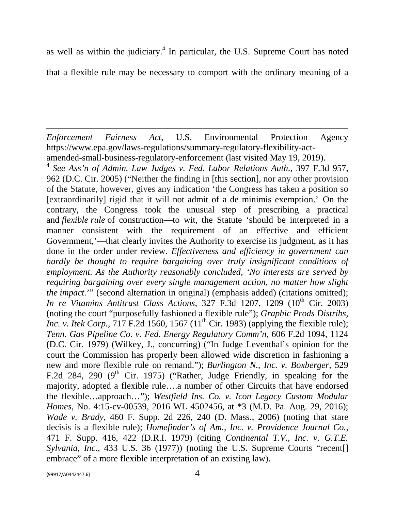as well as within the judiciary. $4$  In particular, the U.S. Supreme Court has noted that a flexible rule may be necessary to comport with the ordinary meaning of a

*Enforcement Fairness Act*, U.S. Environmental Protection Agency https://www.epa.gov/laws-regulations/summary-regulatory-flexibility-actamended-small-business-regulatory-enforcement (last visited May 19, 2019).

4 *See Ass'n of Admin. Law Judges v. Fed. Labor Relations Auth.*, 397 F.3d 957, 962 (D.C. Cir. 2005) ("Neither the finding in [this section], nor any other provision of the Statute, however, gives any indication 'the Congress has taken a position so [extraordinarily] rigid that it will not admit of a de minimis exemption.' On the contrary, the Congress took the unusual step of prescribing a practical and *flexible rule* of construction—to wit, the Statute 'should be interpreted in a manner consistent with the requirement of an effective and efficient Government,'—that clearly invites the Authority to exercise its judgment, as it has done in the order under review. *Effectiveness and efficiency in government can hardly be thought to require bargaining over truly insignificant conditions of employment. As the Authority reasonably concluded, 'No interests are served by requiring bargaining over every single management action, no matter how slight the impact.*'" (second alternation in original) (emphasis added) (citations omitted); *In re Vitamins Antitrust Class Actions*, 327 F.3d 1207, 1209 (10<sup>th</sup> Cir. 2003) (noting the court "purposefully fashioned a flexible rule"); *Graphic Prods Distribs, Inc. v. Itek Corp.*, 717 F.2d 1560, 1567  $(11<sup>th</sup> Cir. 1983)$  (applying the flexible rule); *Tenn. Gas Pipeline Co. v. Fed. Energy Regulatory Comm'n*, 606 F.2d 1094, 1124 (D.C. Cir. 1979) (Wilkey, J., concurring) ("In Judge Leventhal's opinion for the court the Commission has properly been allowed wide discretion in fashioning a new and more flexible rule on remand."); *Burlington N., Inc. v. Boxberger*, 529 F.2d 284, 290 ( $9<sup>th</sup>$  Cir. 1975) ("Rather, Judge Friendly, in speaking for the majority, adopted a flexible rule….a number of other Circuits that have endorsed the flexible…approach…"); *Westfield Ins. Co. v. Icon Legacy Custom Modular Homes*, No. 4:15-cv-00539, 2016 WL 4502456, at \*3 (M.D. Pa. Aug. 29, 2016); *Wade v. Brady*, 460 F. Supp. 2d 226, 240 (D. Mass., 2006) (noting that stare decisis is a flexible rule); *Homefinder's of Am., Inc. v. Providence Journal Co.*, 471 F. Supp. 416, 422 (D.R.I. 1979) (citing *Continental T.V., Inc. v. G.T.E. Sylvania, Inc.*, 433 U.S. 36 (1977)) (noting the U.S. Supreme Courts "recent[] embrace" of a more flexible interpretation of an existing law).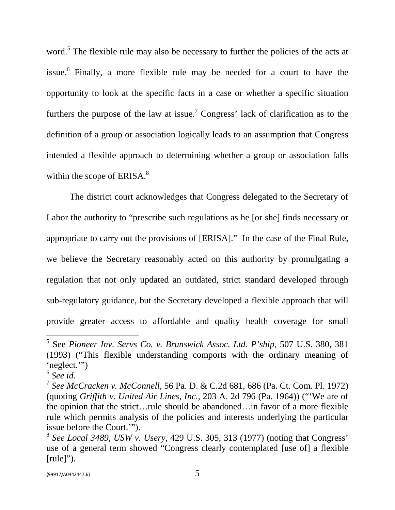word.<sup>5</sup> The flexible rule may also be necessary to further the policies of the acts at issue.<sup>6</sup> Finally, a more flexible rule may be needed for a court to have the opportunity to look at the specific facts in a case or whether a specific situation furthers the purpose of the law at issue.<sup>7</sup> Congress' lack of clarification as to the definition of a group or association logically leads to an assumption that Congress intended a flexible approach to determining whether a group or association falls within the scope of ERISA.<sup>8</sup>

The district court acknowledges that Congress delegated to the Secretary of Labor the authority to "prescribe such regulations as he [or she] finds necessary or appropriate to carry out the provisions of [ERISA]." In the case of the Final Rule, we believe the Secretary reasonably acted on this authority by promulgating a regulation that not only updated an outdated, strict standard developed through sub-regulatory guidance, but the Secretary developed a flexible approach that will provide greater access to affordable and quality health coverage for small

<sup>5</sup> See *Pioneer Inv. Servs Co. v. Brunswick Assoc. Ltd. P'ship*, 507 U.S. 380, 381 (1993) ("This flexible understanding comports with the ordinary meaning of 'neglect.'")

<sup>6</sup> *See id.*

<sup>7</sup> *See McCracken v. McConnell*, 56 Pa. D. & C.2d 681, 686 (Pa. Ct. Com. Pl. 1972) (quoting *Griffith v. United Air Lines, Inc.*, 203 A. 2d 796 (Pa. 1964)) ("'We are of the opinion that the strict…rule should be abandoned…in favor of a more flexible rule which permits analysis of the policies and interests underlying the particular issue before the Court.'").

<sup>8</sup> *See Local 3489, USW v. Usery*, 429 U.S. 305, 313 (1977) (noting that Congress' use of a general term showed "Congress clearly contemplated [use of] a flexible [rule]").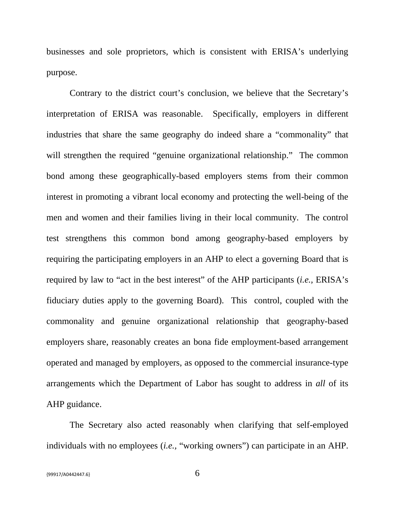businesses and sole proprietors, which is consistent with ERISA's underlying purpose.

Contrary to the district court's conclusion, we believe that the Secretary's interpretation of ERISA was reasonable. Specifically, employers in different industries that share the same geography do indeed share a "commonality" that will strengthen the required "genuine organizational relationship." The common bond among these geographically-based employers stems from their common interest in promoting a vibrant local economy and protecting the well-being of the men and women and their families living in their local community. The control test strengthens this common bond among geography-based employers by requiring the participating employers in an AHP to elect a governing Board that is required by law to "act in the best interest" of the AHP participants (*i.e.,* ERISA's fiduciary duties apply to the governing Board). This control, coupled with the commonality and genuine organizational relationship that geography-based employers share, reasonably creates an bona fide employment-based arrangement operated and managed by employers, as opposed to the commercial insurance-type arrangements which the Department of Labor has sought to address in *all* of its AHP guidance.

The Secretary also acted reasonably when clarifying that self-employed individuals with no employees (*i.e.,* "working owners") can participate in an AHP.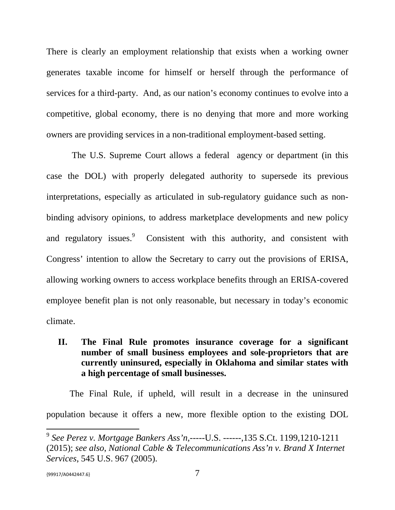There is clearly an employment relationship that exists when a working owner generates taxable income for himself or herself through the performance of services for a third-party. And, as our nation's economy continues to evolve into a competitive, global economy, there is no denying that more and more working owners are providing services in a non-traditional employment-based setting.

The U.S. Supreme Court allows a federal agency or department (in this case the DOL) with properly delegated authority to supersede its previous interpretations, especially as articulated in sub-regulatory guidance such as nonbinding advisory opinions, to address marketplace developments and new policy and regulatory issues.<sup>9</sup> Consistent with this authority, and consistent with Congress' intention to allow the Secretary to carry out the provisions of ERISA, allowing working owners to access workplace benefits through an ERISA-covered employee benefit plan is not only reasonable, but necessary in today's economic climate.

**II. The Final Rule promotes insurance coverage for a significant number of small business employees and sole-proprietors that are currently uninsured, especially in Oklahoma and similar states with a high percentage of small businesses.**

The Final Rule, if upheld, will result in a decrease in the uninsured population because it offers a new, more flexible option to the existing DOL

<sup>9</sup> *See Perez v. Mortgage Bankers Ass'n,*-----U.S. ------,135 S.Ct. 1199,1210-1211 (2015); *see also*, *National Cable & Telecommunications Ass'n v. Brand X Internet Services*, 545 U.S. 967 (2005).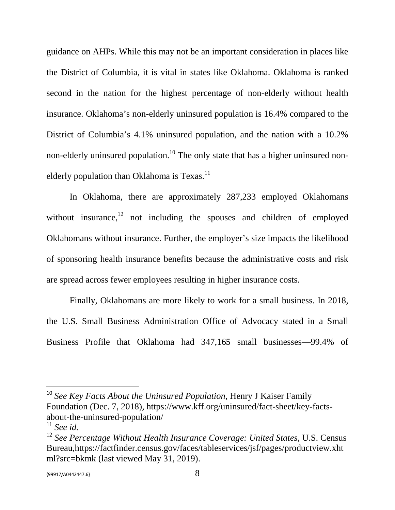guidance on AHPs. While this may not be an important consideration in places like the District of Columbia, it is vital in states like Oklahoma. Oklahoma is ranked second in the nation for the highest percentage of non-elderly without health insurance. Oklahoma's non-elderly uninsured population is 16.4% compared to the District of Columbia's 4.1% uninsured population, and the nation with a 10.2% non-elderly uninsured population.<sup>10</sup> The only state that has a higher uninsured nonelderly population than Oklahoma is  $T$ exas.<sup>11</sup>

In Oklahoma, there are approximately 287,233 employed Oklahomans without insurance,  $12$  not including the spouses and children of employed Oklahomans without insurance. Further, the employer's size impacts the likelihood of sponsoring health insurance benefits because the administrative costs and risk are spread across fewer employees resulting in higher insurance costs.

Finally, Oklahomans are more likely to work for a small business. In 2018, the U.S. Small Business Administration Office of Advocacy stated in a Small Business Profile that Oklahoma had 347,165 small businesses—99.4% of

<sup>10</sup> *See Key Facts About the Uninsured Population*, Henry J Kaiser Family Foundation (Dec. 7, 2018), https://www.kff.org/uninsured/fact-sheet/key-factsabout-the-uninsured-population/

<sup>11</sup> *See id.*

<sup>12</sup> *See Percentage Without Health Insurance Coverage: United States*, U.S. Census Bureau,https://factfinder.census.gov/faces/tableservices/jsf/pages/productview.xht ml?src=bkmk (last viewed May 31, 2019).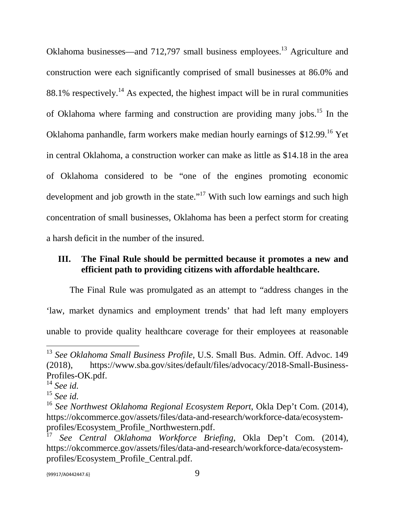Oklahoma businesses—and 712,797 small business employees.<sup>13</sup> Agriculture and construction were each significantly comprised of small businesses at 86.0% and 88.1% respectively.<sup>14</sup> As expected, the highest impact will be in rural communities of Oklahoma where farming and construction are providing many jobs.<sup>15</sup> In the Oklahoma panhandle, farm workers make median hourly earnings of \$12.99.<sup>16</sup> Yet in central Oklahoma, a construction worker can make as little as \$14.18 in the area of Oklahoma considered to be "one of the engines promoting economic development and job growth in the state."<sup>17</sup> With such low earnings and such high concentration of small businesses, Oklahoma has been a perfect storm for creating a harsh deficit in the number of the insured.

### **III. The Final Rule should be permitted because it promotes a new and efficient path to providing citizens with affordable healthcare.**

The Final Rule was promulgated as an attempt to "address changes in the 'law, market dynamics and employment trends' that had left many employers unable to provide quality healthcare coverage for their employees at reasonable

<sup>13</sup> *See Oklahoma Small Business Profile*, U.S. Small Bus. Admin. Off. Advoc. 149 (2018), https://www.sba.gov/sites/default/files/advocacy/2018-Small-Business-Profiles-OK.pdf.

<sup>14</sup> *See id.*

<sup>15</sup> *See id.*

<sup>16</sup> *See Northwest Oklahoma Regional Ecosystem Report*, Okla Dep't Com. (2014), https://okcommerce.gov/assets/files/data-and-research/workforce-data/ecosystemprofiles/Ecosystem\_Profile\_Northwestern.pdf.

<sup>17</sup> *See Central Oklahoma Workforce Briefing*, Okla Dep't Com. (2014), https://okcommerce.gov/assets/files/data-and-research/workforce-data/ecosystemprofiles/Ecosystem\_Profile\_Central.pdf.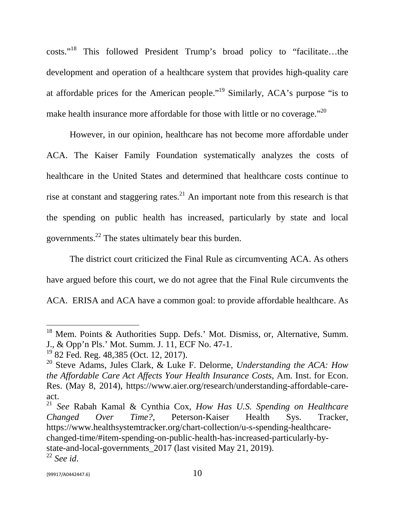costs."<sup>18</sup> This followed President Trump's broad policy to "facilitate…the development and operation of a healthcare system that provides high-quality care at affordable prices for the American people."<sup>19</sup> Similarly, ACA's purpose "is to make health insurance more affordable for those with little or no coverage."<sup>20</sup>

However, in our opinion, healthcare has not become more affordable under ACA. The Kaiser Family Foundation systematically analyzes the costs of healthcare in the United States and determined that healthcare costs continue to rise at constant and staggering rates.<sup>21</sup> An important note from this research is that the spending on public health has increased, particularly by state and local governments.<sup>22</sup> The states ultimately bear this burden.

The district court criticized the Final Rule as circumventing ACA. As others have argued before this court, we do not agree that the Final Rule circumvents the ACA. ERISA and ACA have a common goal: to provide affordable healthcare. As

<sup>&</sup>lt;sup>18</sup> Mem. Points & Authorities Supp. Defs.' Mot. Dismiss, or, Alternative, Summ. J., & Opp'n Pls.' Mot. Summ. J. 11, ECF No. 47-1.

<sup>19</sup> 82 Fed. Reg. 48,385 (Oct. 12, 2017).

<sup>20</sup> Steve Adams, Jules Clark, & Luke F. Delorme, *Understanding the ACA: How the Affordable Care Act Affects Your Health Insurance Costs*, Am. Inst. for Econ. Res. (May 8, 2014), https://www.aier.org/research/understanding-affordable-careact.

<sup>21</sup> *See* Rabah Kamal & Cynthia Cox, *How Has U.S. Spending on Healthcare Changed Over Time?,* Peterson-Kaiser Health Sys. Tracker, https://www.healthsystemtracker.org/chart-collection/u-s-spending-healthcarechanged-time/#item-spending-on-public-health-has-increased-particularly-bystate-and-local-governments\_2017 (last visited May 21, 2019). <sup>22</sup> *See id*.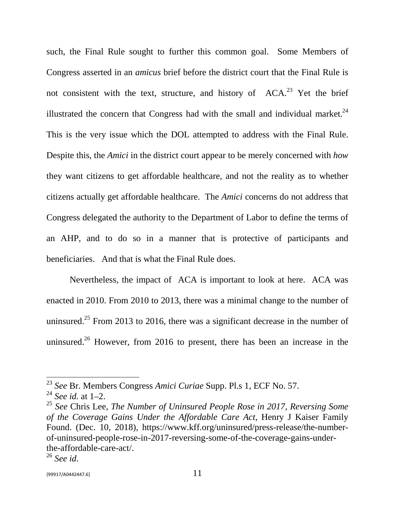such, the Final Rule sought to further this common goal. Some Members of Congress asserted in an *amicus* brief before the district court that the Final Rule is not consistent with the text, structure, and history of  $ACA<sup>23</sup>$  Yet the brief illustrated the concern that Congress had with the small and individual market. $24$ This is the very issue which the DOL attempted to address with the Final Rule. Despite this, the *Amici* in the district court appear to be merely concerned with *how* they want citizens to get affordable healthcare, and not the reality as to whether citizens actually get affordable healthcare. The *Amici* concerns do not address that Congress delegated the authority to the Department of Labor to define the terms of an AHP, and to do so in a manner that is protective of participants and beneficiaries. And that is what the Final Rule does.

Nevertheless, the impact of ACA is important to look at here. ACA was enacted in 2010. From 2010 to 2013, there was a minimal change to the number of uninsured.<sup>25</sup> From 2013 to 2016, there was a significant decrease in the number of uninsured.<sup>26</sup> However, from 2016 to present, there has been an increase in the

<sup>23</sup> *See* Br. Members Congress *Amici Curiae* Supp. Pl.s 1, ECF No. 57.

<sup>24</sup> *See id.* at 1–2.

<sup>25</sup> *See* Chris Lee, *The Number of Uninsured People Rose in 2017, Reversing Some of the Coverage Gains Under the Affordable Care Act*, Henry J Kaiser Family Found. (Dec. 10, 2018), https://www.kff.org/uninsured/press-release/the-numberof-uninsured-people-rose-in-2017-reversing-some-of-the-coverage-gains-underthe-affordable-care-act/.

<sup>26</sup> *See id*.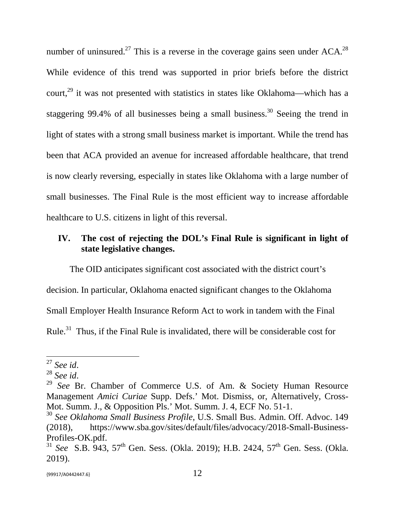number of uninsured.<sup>27</sup> This is a reverse in the coverage gains seen under  $ACA^{28}$ . While evidence of this trend was supported in prior briefs before the district court,<sup>29</sup> it was not presented with statistics in states like Oklahoma—which has a staggering 99.4% of all businesses being a small business.<sup>30</sup> Seeing the trend in light of states with a strong small business market is important. While the trend has been that ACA provided an avenue for increased affordable healthcare, that trend is now clearly reversing, especially in states like Oklahoma with a large number of small businesses. The Final Rule is the most efficient way to increase affordable healthcare to U.S. citizens in light of this reversal.

### **IV. The cost of rejecting the DOL's Final Rule is significant in light of state legislative changes.**

The OID anticipates significant cost associated with the district court's decision. In particular, Oklahoma enacted significant changes to the Oklahoma Small Employer Health Insurance Reform Act to work in tandem with the Final Rule.<sup>31</sup> Thus, if the Final Rule is invalidated, there will be considerable cost for

<sup>27</sup> *See id*.

<sup>28</sup> *See id*.

<sup>29</sup> *See* Br. Chamber of Commerce U.S. of Am. & Society Human Resource Management *Amici Curiae* Supp. Defs.' Mot. Dismiss, or, Alternatively, Cross-Mot. Summ. J., & Opposition Pls.' Mot. Summ. J. 4, ECF No. 51-1.

<sup>30</sup> *See Oklahoma Small Business Profile*, U.S. Small Bus. Admin. Off. Advoc. 149 (2018), https://www.sba.gov/sites/default/files/advocacy/2018-Small-Business-Profiles-OK.pdf.

<sup>&</sup>lt;sup>31</sup> *See* S.B. 943, 57<sup>th</sup> Gen. Sess. (Okla. 2019); H.B. 2424, 57<sup>th</sup> Gen. Sess. (Okla. 2019).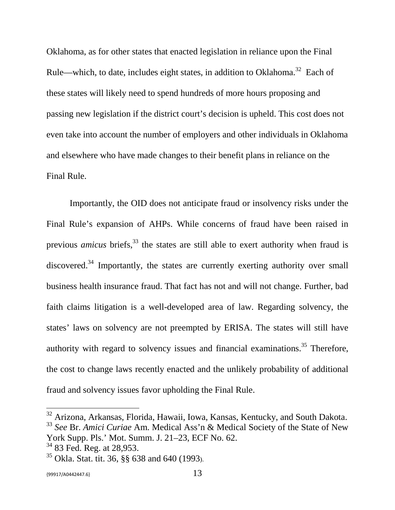Oklahoma, as for other states that enacted legislation in reliance upon the Final Rule—which, to date, includes eight states, in addition to Oklahoma.<sup>32</sup> Each of these states will likely need to spend hundreds of more hours proposing and passing new legislation if the district court's decision is upheld. This cost does not even take into account the number of employers and other individuals in Oklahoma and elsewhere who have made changes to their benefit plans in reliance on the Final Rule.

Importantly, the OID does not anticipate fraud or insolvency risks under the Final Rule's expansion of AHPs. While concerns of fraud have been raised in previous *amicus* briefs,<sup>33</sup> the states are still able to exert authority when fraud is discovered.<sup>34</sup> Importantly, the states are currently exerting authority over small business health insurance fraud. That fact has not and will not change. Further, bad faith claims litigation is a well-developed area of law. Regarding solvency, the states' laws on solvency are not preempted by ERISA. The states will still have authority with regard to solvency issues and financial examinations.<sup>35</sup> Therefore, the cost to change laws recently enacted and the unlikely probability of additional fraud and solvency issues favor upholding the Final Rule.

<sup>&</sup>lt;sup>32</sup> Arizona, Arkansas, Florida, Hawaii, Iowa, Kansas, Kentucky, and South Dakota.

<sup>33</sup> *See* Br. *Amici Curiae* Am. Medical Ass'n & Medical Society of the State of New York Supp. Pls.' Mot. Summ. J. 21–23, ECF No. 62.

<sup>&</sup>lt;sup>34</sup> 83 Fed. Reg. at 28,953.

<sup>35</sup> Okla. Stat. tit. 36, §§ 638 and 640 (1993).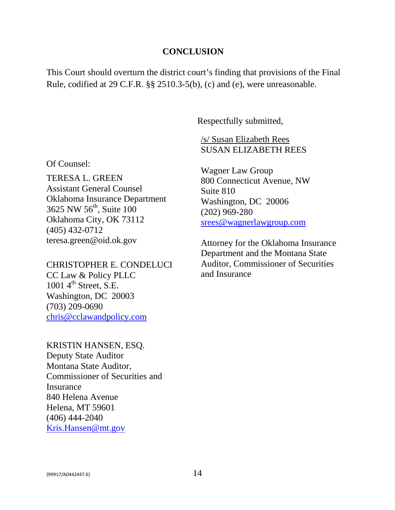#### **CONCLUSION**

This Court should overturn the district court's finding that provisions of the Final Rule, codified at 29 C.F.R. §§ 2510.3-5(b), (c) and (e), were unreasonable.

Respectfully submitted,

#### /s/ Susan Elizabeth Rees SUSAN ELIZABETH REES

Wagner Law Group 800 Connecticut Avenue, NW Suite 810 Washington, DC 20006 (202) 969-280 srees@wagnerlawgroup.com

Attorney for the Oklahoma Insurance Department and the Montana State Auditor, Commissioner of Securities and Insurance

#### Of Counsel:

TERESA L. GREEN Assistant General Counsel Oklahoma Insurance Department 3625 NW 56<sup>th</sup>, Suite 100 Oklahoma City, OK 73112 (405) 432-0712 teresa.green@oid.ok.gov

#### CHRISTOPHER E. CONDELUCI

CC Law & Policy PLLC 1001  $4<sup>th</sup>$  Street, S.E. Washington, DC 20003 (703) 209-0690 chris@cclawandpolicy.com

### KRISTIN HANSEN, ESQ. Deputy State Auditor Montana State Auditor, Commissioner of Securities and Insurance 840 Helena Avenue Helena, MT 59601 (406) 444-2040

Kris.Hansen@mt.gov

 ${99917}/$ A0442447.6} 14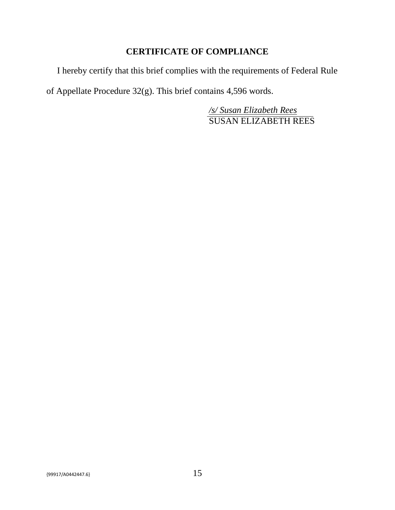### **CERTIFICATE OF COMPLIANCE**

I hereby certify that this brief complies with the requirements of Federal Rule of Appellate Procedure 32(g). This brief contains 4,596 words.

> */s/ Susan Elizabeth Rees* SUSAN ELIZABETH REES